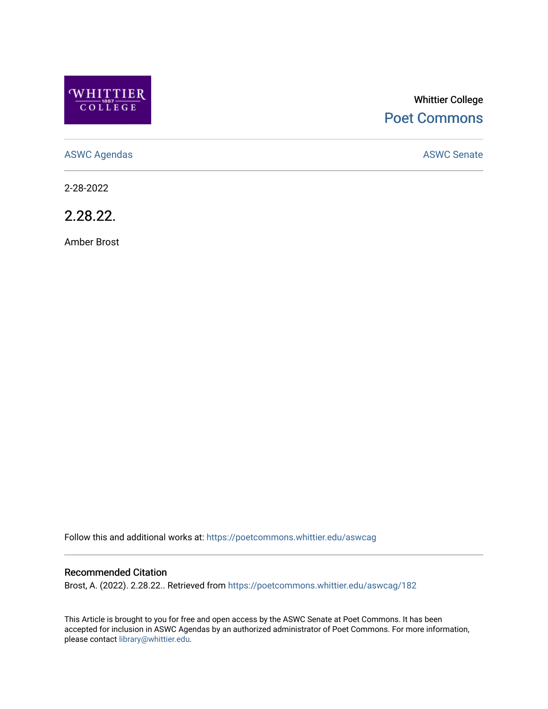

# Whittier College [Poet Commons](https://poetcommons.whittier.edu/)

[ASWC Agendas](https://poetcommons.whittier.edu/aswcag) **ASWC Senate** 

2-28-2022

2.28.22.

Amber Brost

Follow this and additional works at: [https://poetcommons.whittier.edu/aswcag](https://poetcommons.whittier.edu/aswcag?utm_source=poetcommons.whittier.edu%2Faswcag%2F182&utm_medium=PDF&utm_campaign=PDFCoverPages) 

## Recommended Citation

Brost, A. (2022). 2.28.22.. Retrieved from [https://poetcommons.whittier.edu/aswcag/182](https://poetcommons.whittier.edu/aswcag/182?utm_source=poetcommons.whittier.edu%2Faswcag%2F182&utm_medium=PDF&utm_campaign=PDFCoverPages) 

This Article is brought to you for free and open access by the ASWC Senate at Poet Commons. It has been accepted for inclusion in ASWC Agendas by an authorized administrator of Poet Commons. For more information, please contact [library@whittier.edu](mailto:library@whittier.edu).